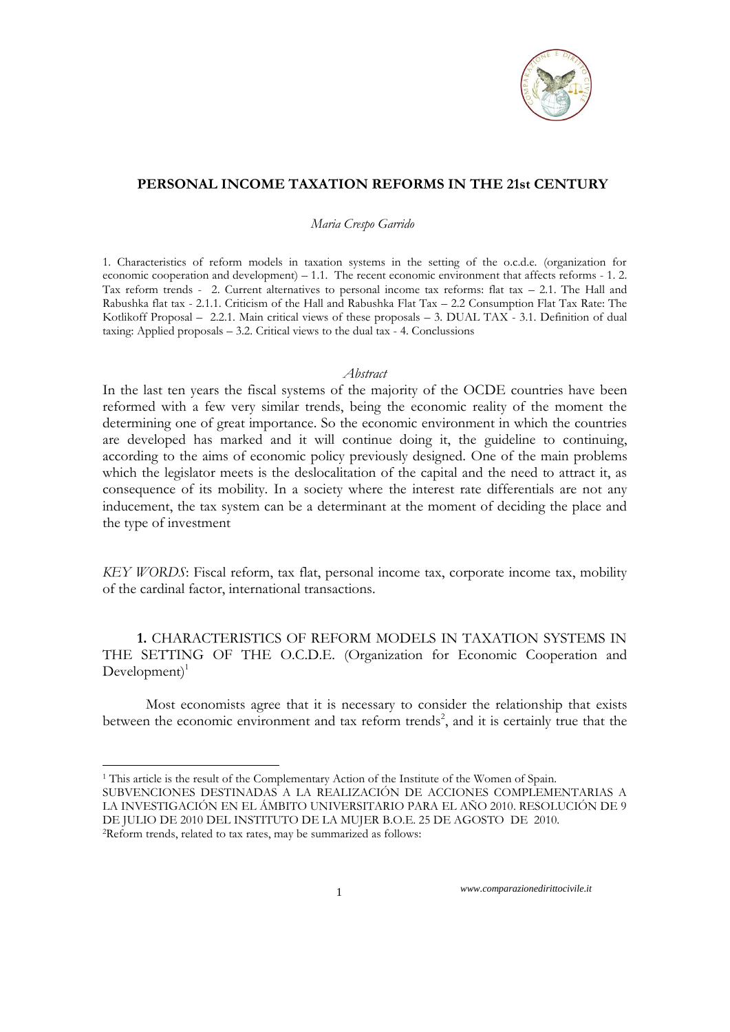

## **PERSONAL INCOME TAXATION REFORMS IN THE 21st CENTURY**

*Maria Crespo Garrido*

1. Characteristics of reform models in taxation systems in the setting of the o.c.d.e. (organization for economic cooperation and development) – 1.1. The recent economic environment that affects reforms - 1. 2. Tax reform trends - 2. Current alternatives to personal income tax reforms: flat tax – 2.1. The Hall and Rabushka flat tax - 2.1.1. Criticism of the Hall and Rabushka Flat Tax – 2.2 Consumption Flat Tax Rate: The Kotlikoff Proposal – 2.2.1. Main critical views of these proposals – 3. DUAL TAX - 3.1. Definition of dual taxing: Applied proposals – 3.2. Critical views to the dual tax - 4. Conclussions

### *Abstract*

In the last ten years the fiscal systems of the majority of the OCDE countries have been reformed with a few very similar trends, being the economic reality of the moment the determining one of great importance. So the economic environment in which the countries are developed has marked and it will continue doing it, the guideline to continuing, according to the aims of economic policy previously designed. One of the main problems which the legislator meets is the deslocalitation of the capital and the need to attract it, as consequence of its mobility. In a society where the interest rate differentials are not any inducement, the tax system can be a determinant at the moment of deciding the place and the type of investment

*KEY WORDS*: Fiscal reform, tax flat, personal income tax, corporate income tax, mobility of the cardinal factor, international transactions.

**1.** CHARACTERISTICS OF REFORM MODELS IN TAXATION SYSTEMS IN THE SETTING OF THE O.C.D.E. (Organization for Economic Cooperation and  $Development$ <sup>1</sup>

Most economists agree that it is necessary to consider the relationship that exists between the economic environment and tax reform trends<sup>2</sup>, and it is certainly true that the

-

<sup>&</sup>lt;sup>1</sup> This article is the result of the Complementary Action of the Institute of the Women of Spain.

SUBVENCIONES DESTINADAS A LA REALIZACIÓN DE ACCIONES COMPLEMENTARIAS A LA INVESTIGACIÓN EN EL ÁMBITO UNIVERSITARIO PARA EL AÑO 2010. RESOLUCIÓN DE 9 DE JULIO DE 2010 DEL INSTITUTO DE LA MUJER B.O.E. 25 DE AGOSTO DE 2010. <sup>2</sup>Reform trends, related to tax rates, may be summarized as follows: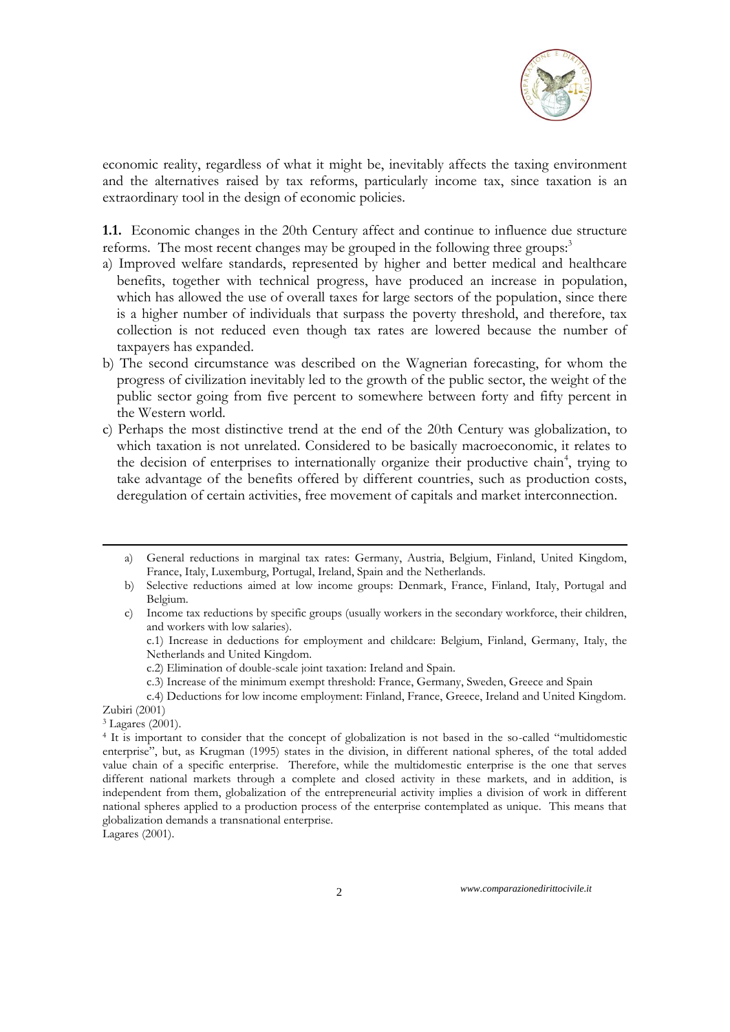

economic reality, regardless of what it might be, inevitably affects the taxing environment and the alternatives raised by tax reforms, particularly income tax, since taxation is an extraordinary tool in the design of economic policies.

**1.1.** Economic changes in the 20th Century affect and continue to influence due structure reforms. The most recent changes may be grouped in the following three groups:<sup>3</sup>

- a) Improved welfare standards, represented by higher and better medical and healthcare benefits, together with technical progress, have produced an increase in population, which has allowed the use of overall taxes for large sectors of the population, since there is a higher number of individuals that surpass the poverty threshold, and therefore, tax collection is not reduced even though tax rates are lowered because the number of taxpayers has expanded.
- b) The second circumstance was described on the Wagnerian forecasting, for whom the progress of civilization inevitably led to the growth of the public sector, the weight of the public sector going from five percent to somewhere between forty and fifty percent in the Western world.
- c) Perhaps the most distinctive trend at the end of the 20th Century was globalization, to which taxation is not unrelated. Considered to be basically macroeconomic, it relates to the decision of enterprises to internationally organize their productive chain<sup>4</sup>, trying to take advantage of the benefits offered by different countries, such as production costs, deregulation of certain activities, free movement of capitals and market interconnection.

<u>.</u>

Lagares (2001).

a) General reductions in marginal tax rates: Germany, Austria, Belgium, Finland, United Kingdom, France, Italy, Luxemburg, Portugal, Ireland, Spain and the Netherlands.

b) Selective reductions aimed at low income groups: Denmark, France, Finland, Italy, Portugal and Belgium.

c) Income tax reductions by specific groups (usually workers in the secondary workforce, their children, and workers with low salaries).

c.1) Increase in deductions for employment and childcare: Belgium, Finland, Germany, Italy, the Netherlands and United Kingdom.

c.2) Elimination of double-scale joint taxation: Ireland and Spain.

c.3) Increase of the minimum exempt threshold: France, Germany, Sweden, Greece and Spain

c.4) Deductions for low income employment: Finland, France, Greece, Ireland and United Kingdom. Zubiri (2001)

<sup>3</sup> Lagares (2001).

<sup>4</sup> It is important to consider that the concept of globalization is not based in the so-called "multidomestic enterprise", but, as Krugman (1995) states in the division, in different national spheres, of the total added value chain of a specific enterprise. Therefore, while the multidomestic enterprise is the one that serves different national markets through a complete and closed activity in these markets, and in addition, is independent from them, globalization of the entrepreneurial activity implies a division of work in different national spheres applied to a production process of the enterprise contemplated as unique. This means that globalization demands a transnational enterprise.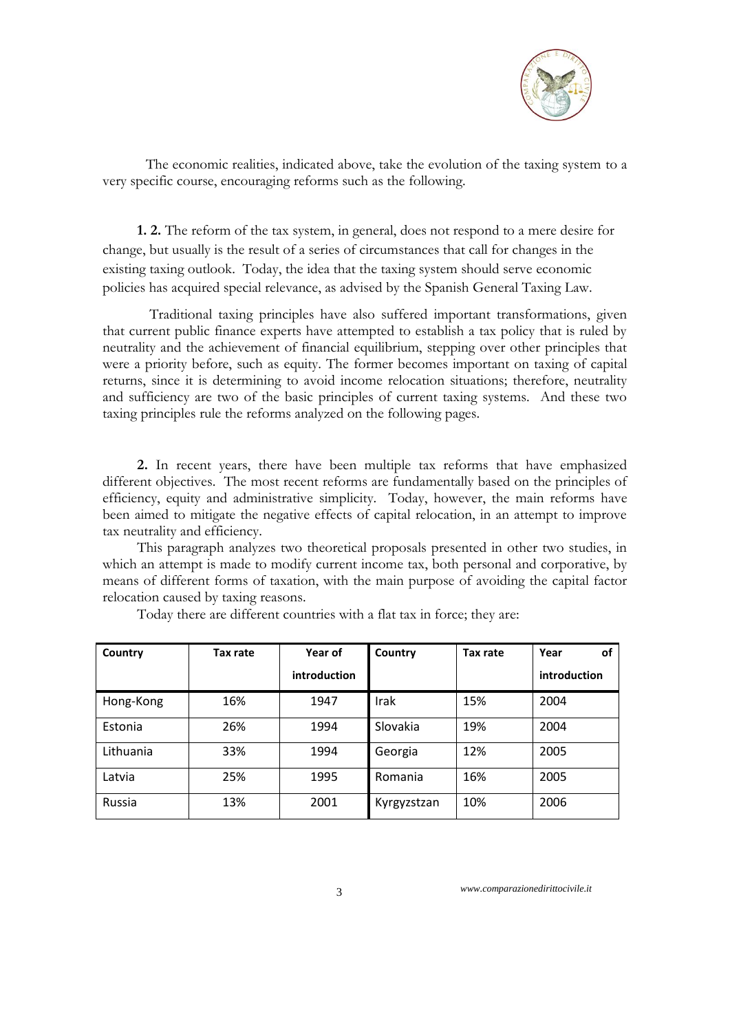

The economic realities, indicated above, take the evolution of the taxing system to a very specific course, encouraging reforms such as the following.

**1. 2.** The reform of the tax system, in general, does not respond to a mere desire for change, but usually is the result of a series of circumstances that call for changes in the existing taxing outlook. Today, the idea that the taxing system should serve economic policies has acquired special relevance, as advised by the Spanish General Taxing Law.

Traditional taxing principles have also suffered important transformations, given that current public finance experts have attempted to establish a tax policy that is ruled by neutrality and the achievement of financial equilibrium, stepping over other principles that were a priority before, such as equity. The former becomes important on taxing of capital returns, since it is determining to avoid income relocation situations; therefore, neutrality and sufficiency are two of the basic principles of current taxing systems. And these two taxing principles rule the reforms analyzed on the following pages.

**2.** In recent years, there have been multiple tax reforms that have emphasized different objectives. The most recent reforms are fundamentally based on the principles of efficiency, equity and administrative simplicity. Today, however, the main reforms have been aimed to mitigate the negative effects of capital relocation, in an attempt to improve tax neutrality and efficiency.

This paragraph analyzes two theoretical proposals presented in other two studies, in which an attempt is made to modify current income tax, both personal and corporative, by means of different forms of taxation, with the main purpose of avoiding the capital factor relocation caused by taxing reasons.

| Country   | Tax rate | Year of      | Country     | Tax rate | Year<br>οf   |  |
|-----------|----------|--------------|-------------|----------|--------------|--|
|           |          | introduction |             |          | introduction |  |
| Hong-Kong | 16%      | 1947         | Irak        | 15%      | 2004         |  |
| Estonia   | 26%      | 1994         | Slovakia    | 19%      | 2004         |  |
| Lithuania | 33%      | 1994         | Georgia     | 12%      | 2005         |  |
| Latvia    | 25%      | 1995         | Romania     | 16%      | 2005         |  |
| Russia    | 13%      | 2001         | Kyrgyzstzan | 10%      | 2006         |  |

Today there are different countries with a flat tax in force; they are: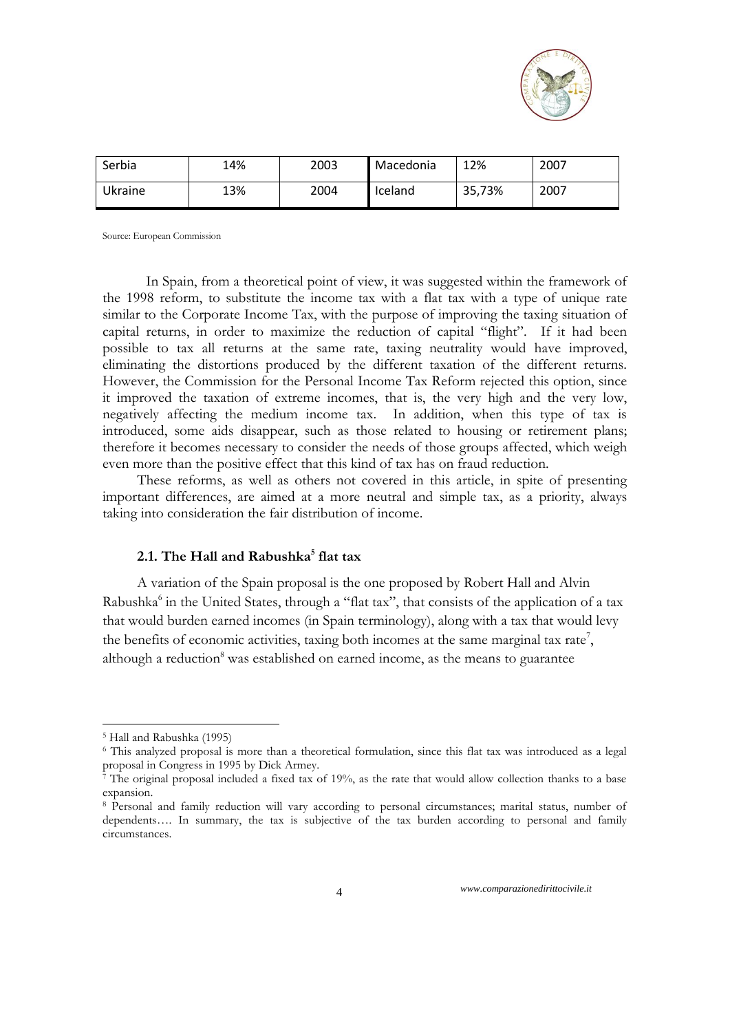

| Serbia  | 14% | 2003 | Macedonia | 12%    | 2007 |
|---------|-----|------|-----------|--------|------|
| Ukraine | 13% | 2004 | Iceland   | 35,73% | 2007 |

Source: European Commission

In Spain, from a theoretical point of view, it was suggested within the framework of the 1998 reform, to substitute the income tax with a flat tax with a type of unique rate similar to the Corporate Income Tax, with the purpose of improving the taxing situation of capital returns, in order to maximize the reduction of capital "flight". If it had been possible to tax all returns at the same rate, taxing neutrality would have improved, eliminating the distortions produced by the different taxation of the different returns. However, the Commission for the Personal Income Tax Reform rejected this option, since it improved the taxation of extreme incomes, that is, the very high and the very low, negatively affecting the medium income tax. In addition, when this type of tax is introduced, some aids disappear, such as those related to housing or retirement plans; therefore it becomes necessary to consider the needs of those groups affected, which weigh even more than the positive effect that this kind of tax has on fraud reduction.

These reforms, as well as others not covered in this article, in spite of presenting important differences, are aimed at a more neutral and simple tax, as a priority, always taking into consideration the fair distribution of income.

# **2.1. The Hall and Rabushka<sup>5</sup> flat tax**

A variation of the Spain proposal is the one proposed by Robert Hall and Alvin Rabushka<sup>6</sup> in the United States, through a "flat tax", that consists of the application of a tax that would burden earned incomes (in Spain terminology), along with a tax that would levy the benefits of economic activities, taxing both incomes at the same marginal tax rate<sup>7</sup>, although a reduction $8$  was established on earned income, as the means to guarantee

<u>.</u>

<sup>5</sup> Hall and Rabushka (1995)

<sup>6</sup> This analyzed proposal is more than a theoretical formulation, since this flat tax was introduced as a legal proposal in Congress in 1995 by Dick Armey.

<sup>7</sup> The original proposal included a fixed tax of 19%, as the rate that would allow collection thanks to a base expansion.

<sup>8</sup> Personal and family reduction will vary according to personal circumstances; marital status, number of dependents…. In summary, the tax is subjective of the tax burden according to personal and family circumstances.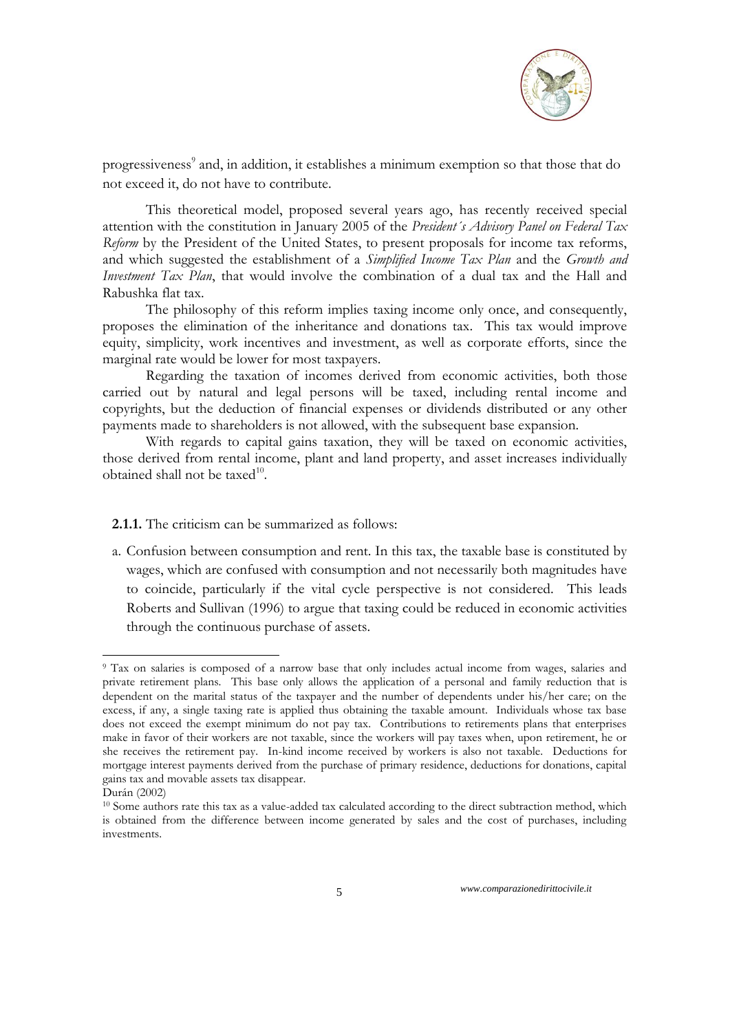

progressiveness<sup>9</sup> and, in addition, it establishes a minimum exemption so that those that do not exceed it, do not have to contribute.

This theoretical model, proposed several years ago, has recently received special attention with the constitution in January 2005 of the *President´s Advisory Panel on Federal Tax Reform* by the President of the United States, to present proposals for income tax reforms, and which suggested the establishment of a *Simplified Income Tax Plan* and the *Growth and Investment Tax Plan*, that would involve the combination of a dual tax and the Hall and Rabushka flat tax.

The philosophy of this reform implies taxing income only once, and consequently, proposes the elimination of the inheritance and donations tax. This tax would improve equity, simplicity, work incentives and investment, as well as corporate efforts, since the marginal rate would be lower for most taxpayers.

Regarding the taxation of incomes derived from economic activities, both those carried out by natural and legal persons will be taxed, including rental income and copyrights, but the deduction of financial expenses or dividends distributed or any other payments made to shareholders is not allowed, with the subsequent base expansion.

With regards to capital gains taxation, they will be taxed on economic activities, those derived from rental income, plant and land property, and asset increases individually obtained shall not be taxed<sup>10</sup>.

## **2.1.1.** The criticism can be summarized as follows:

a. Confusion between consumption and rent. In this tax, the taxable base is constituted by wages, which are confused with consumption and not necessarily both magnitudes have to coincide, particularly if the vital cycle perspective is not considered. This leads Roberts and Sullivan (1996) to argue that taxing could be reduced in economic activities through the continuous purchase of assets.

<u>.</u>

<sup>9</sup> Tax on salaries is composed of a narrow base that only includes actual income from wages, salaries and private retirement plans. This base only allows the application of a personal and family reduction that is dependent on the marital status of the taxpayer and the number of dependents under his/her care; on the excess, if any, a single taxing rate is applied thus obtaining the taxable amount. Individuals whose tax base does not exceed the exempt minimum do not pay tax. Contributions to retirements plans that enterprises make in favor of their workers are not taxable, since the workers will pay taxes when, upon retirement, he or she receives the retirement pay. In-kind income received by workers is also not taxable. Deductions for mortgage interest payments derived from the purchase of primary residence, deductions for donations, capital gains tax and movable assets tax disappear.

Durán (2002)

<sup>&</sup>lt;sup>10</sup> Some authors rate this tax as a value-added tax calculated according to the direct subtraction method, which is obtained from the difference between income generated by sales and the cost of purchases, including investments.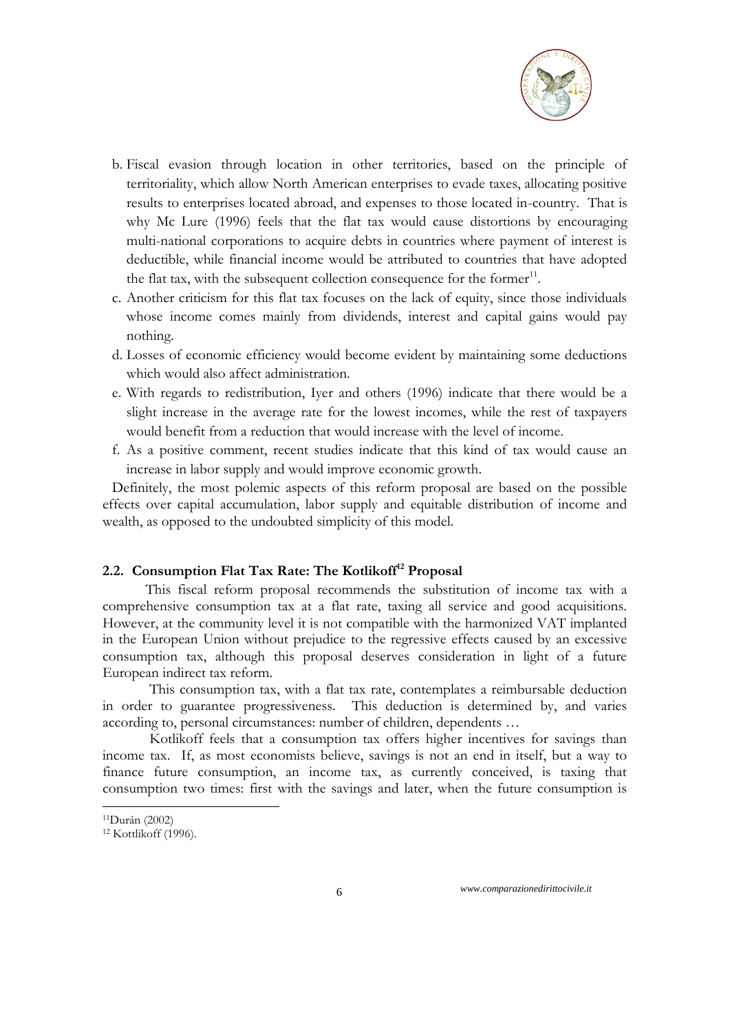

- b. Fiscal evasion through location in other territories, based on the principle of territoriality, which allow North American enterprises to evade taxes, allocating positive results to enterprises located abroad, and expenses to those located in-country. That is why Mc Lure (1996) feels that the flat tax would cause distortions by encouraging multi-national corporations to acquire debts in countries where payment of interest is deductible, while financial income would be attributed to countries that have adopted the flat tax, with the subsequent collection consequence for the former $11$ .
- c. Another criticism for this flat tax focuses on the lack of equity, since those individuals whose income comes mainly from dividends, interest and capital gains would pay nothing.
- d. Losses of economic efficiency would become evident by maintaining some deductions which would also affect administration.
- e. With regards to redistribution, Iyer and others (1996) indicate that there would be a slight increase in the average rate for the lowest incomes, while the rest of taxpayers would benefit from a reduction that would increase with the level of income.
- f. As a positive comment, recent studies indicate that this kind of tax would cause an increase in labor supply and would improve economic growth.

Definitely, the most polemic aspects of this reform proposal are based on the possible effects over capital accumulation, labor supply and equitable distribution of income and wealth, as opposed to the undoubted simplicity of this model.

# **2.2. Consumption Flat Tax Rate: The Kotlikoff<sup>12</sup> Proposal**

This fiscal reform proposal recommends the substitution of income tax with a comprehensive consumption tax at a flat rate, taxing all service and good acquisitions. However, at the community level it is not compatible with the harmonized VAT implanted in the European Union without prejudice to the regressive effects caused by an excessive consumption tax, although this proposal deserves consideration in light of a future European indirect tax reform.

This consumption tax, with a flat tax rate, contemplates a reimbursable deduction in order to guarantee progressiveness. This deduction is determined by, and varies according to, personal circumstances: number of children, dependents …

Kotlikoff feels that a consumption tax offers higher incentives for savings than income tax. If, as most economists believe, savings is not an end in itself, but a way to finance future consumption, an income tax, as currently conceived, is taxing that consumption two times: first with the savings and later, when the future consumption is

-

<sup>11</sup>Durán (2002)

<sup>12</sup> Kottlikoff (1996).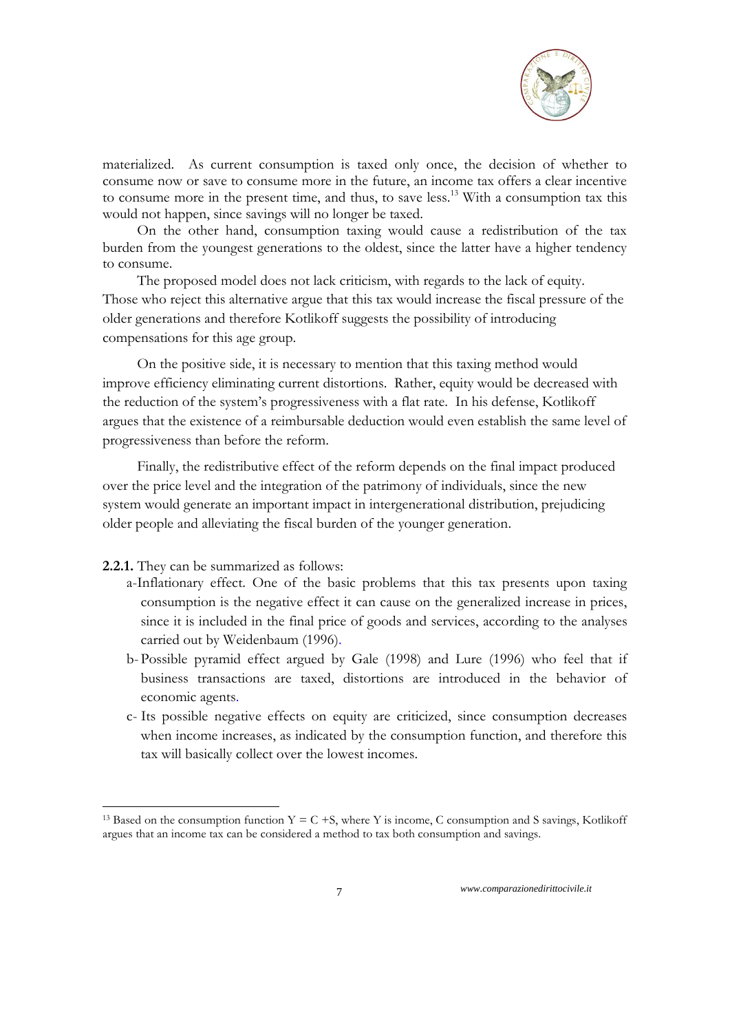

materialized. As current consumption is taxed only once, the decision of whether to consume now or save to consume more in the future, an income tax offers a clear incentive to consume more in the present time, and thus, to save less.<sup>13</sup> With a consumption tax this would not happen, since savings will no longer be taxed.

On the other hand, consumption taxing would cause a redistribution of the tax burden from the youngest generations to the oldest, since the latter have a higher tendency to consume.

The proposed model does not lack criticism, with regards to the lack of equity. Those who reject this alternative argue that this tax would increase the fiscal pressure of the older generations and therefore Kotlikoff suggests the possibility of introducing compensations for this age group.

On the positive side, it is necessary to mention that this taxing method would improve efficiency eliminating current distortions. Rather, equity would be decreased with the reduction of the system's progressiveness with a flat rate. In his defense, Kotlikoff argues that the existence of a reimbursable deduction would even establish the same level of progressiveness than before the reform.

Finally, the redistributive effect of the reform depends on the final impact produced over the price level and the integration of the patrimony of individuals, since the new system would generate an important impact in intergenerational distribution, prejudicing older people and alleviating the fiscal burden of the younger generation.

**2.2.1.** They can be summarized as follows:

-

- a-Inflationary effect. One of the basic problems that this tax presents upon taxing consumption is the negative effect it can cause on the generalized increase in prices, since it is included in the final price of goods and services, according to the analyses carried out by Weidenbaum (1996).
- b- Possible pyramid effect argued by Gale (1998) and Lure (1996) who feel that if business transactions are taxed, distortions are introduced in the behavior of economic agents.
- c- Its possible negative effects on equity are criticized, since consumption decreases when income increases, as indicated by the consumption function, and therefore this tax will basically collect over the lowest incomes.

<sup>&</sup>lt;sup>13</sup> Based on the consumption function  $Y = C + S$ , where Y is income, C consumption and S savings, Kotlikoff argues that an income tax can be considered a method to tax both consumption and savings.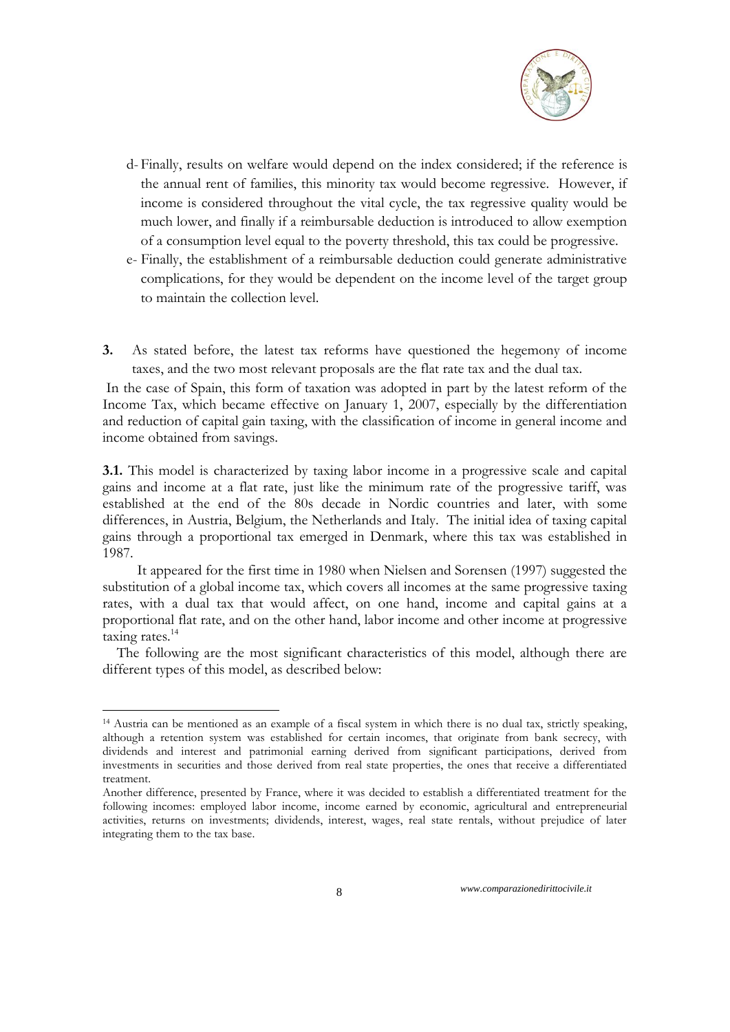

- d- Finally, results on welfare would depend on the index considered; if the reference is the annual rent of families, this minority tax would become regressive. However, if income is considered throughout the vital cycle, the tax regressive quality would be much lower, and finally if a reimbursable deduction is introduced to allow exemption of a consumption level equal to the poverty threshold, this tax could be progressive.
- e- Finally, the establishment of a reimbursable deduction could generate administrative complications, for they would be dependent on the income level of the target group to maintain the collection level.
- **3.** As stated before, the latest tax reforms have questioned the hegemony of income taxes, and the two most relevant proposals are the flat rate tax and the dual tax.

In the case of Spain, this form of taxation was adopted in part by the latest reform of the Income Tax, which became effective on January 1, 2007, especially by the differentiation and reduction of capital gain taxing, with the classification of income in general income and income obtained from savings.

**3.1.** This model is characterized by taxing labor income in a progressive scale and capital gains and income at a flat rate, just like the minimum rate of the progressive tariff, was established at the end of the 80s decade in Nordic countries and later, with some differences, in Austria, Belgium, the Netherlands and Italy. The initial idea of taxing capital gains through a proportional tax emerged in Denmark, where this tax was established in 1987.

It appeared for the first time in 1980 when Nielsen and Sorensen (1997) suggested the substitution of a global income tax, which covers all incomes at the same progressive taxing rates, with a dual tax that would affect, on one hand, income and capital gains at a proportional flat rate, and on the other hand, labor income and other income at progressive taxing rates.<sup>14</sup>

The following are the most significant characteristics of this model, although there are different types of this model, as described below:

<u>.</u>

<sup>14</sup> Austria can be mentioned as an example of a fiscal system in which there is no dual tax, strictly speaking, although a retention system was established for certain incomes, that originate from bank secrecy, with dividends and interest and patrimonial earning derived from significant participations, derived from investments in securities and those derived from real state properties, the ones that receive a differentiated treatment.

Another difference, presented by France, where it was decided to establish a differentiated treatment for the following incomes: employed labor income, income earned by economic, agricultural and entrepreneurial activities, returns on investments; dividends, interest, wages, real state rentals, without prejudice of later integrating them to the tax base.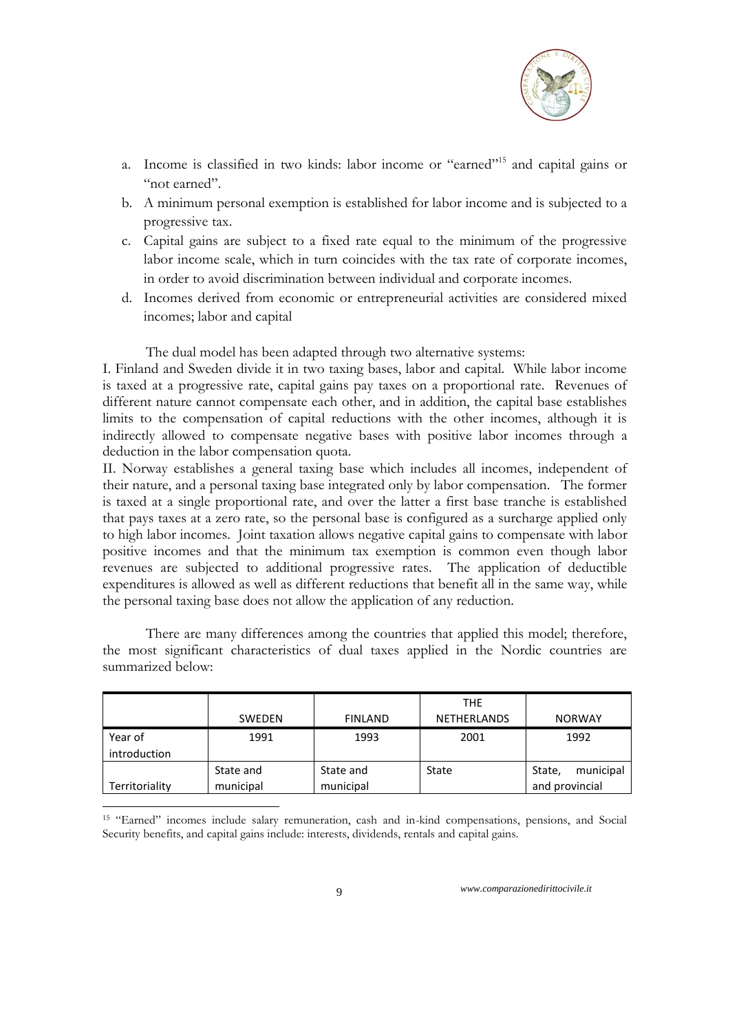

- a. Income is classified in two kinds: labor income or "earned"<sup>15</sup> and capital gains or "not earned".
- b. A minimum personal exemption is established for labor income and is subjected to a progressive tax.
- c. Capital gains are subject to a fixed rate equal to the minimum of the progressive labor income scale, which in turn coincides with the tax rate of corporate incomes, in order to avoid discrimination between individual and corporate incomes.
- d. Incomes derived from economic or entrepreneurial activities are considered mixed incomes; labor and capital

The dual model has been adapted through two alternative systems:

I. Finland and Sweden divide it in two taxing bases, labor and capital. While labor income is taxed at a progressive rate, capital gains pay taxes on a proportional rate. Revenues of different nature cannot compensate each other, and in addition, the capital base establishes limits to the compensation of capital reductions with the other incomes, although it is indirectly allowed to compensate negative bases with positive labor incomes through a deduction in the labor compensation quota.

II. Norway establishes a general taxing base which includes all incomes, independent of their nature, and a personal taxing base integrated only by labor compensation. The former is taxed at a single proportional rate, and over the latter a first base tranche is established that pays taxes at a zero rate, so the personal base is configured as a surcharge applied only to high labor incomes. Joint taxation allows negative capital gains to compensate with labor positive incomes and that the minimum tax exemption is common even though labor revenues are subjected to additional progressive rates. The application of deductible expenditures is allowed as well as different reductions that benefit all in the same way, while the personal taxing base does not allow the application of any reduction.

|  |                   | There are many differences among the countries that applied this model; therefore,     |  |  |  |  |  |
|--|-------------------|----------------------------------------------------------------------------------------|--|--|--|--|--|
|  |                   | the most significant characteristics of dual taxes applied in the Nordic countries are |  |  |  |  |  |
|  | summarized below: |                                                                                        |  |  |  |  |  |

|                |               |                | <b>THE</b>         |                     |  |  |
|----------------|---------------|----------------|--------------------|---------------------|--|--|
|                | <b>SWEDEN</b> | <b>FINLAND</b> | <b>NETHERLANDS</b> | <b>NORWAY</b>       |  |  |
| Year of        | 1991          | 1993           | 2001               | 1992                |  |  |
| introduction   |               |                |                    |                     |  |  |
|                | State and     | State and      | State              | municipal<br>State, |  |  |
| Territoriality | municipal     | municipal      |                    | and provincial      |  |  |

<sup>15</sup> "Earned" incomes include salary remuneration, cash and in-kind compensations, pensions, and Social Security benefits, and capital gains include: interests, dividends, rentals and capital gains.

*www.comparazionedirittocivile.it*

-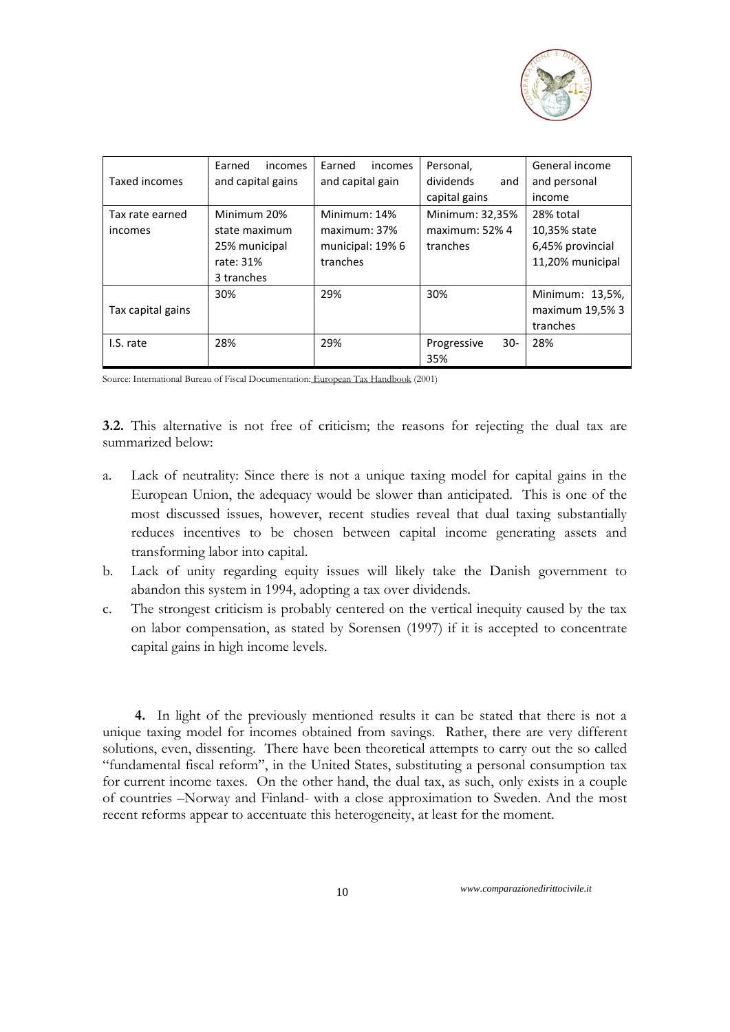

|                   | Earned<br>incomes | Earned<br>incomes | Personal,             | General income   |
|-------------------|-------------------|-------------------|-----------------------|------------------|
| Taxed incomes     | and capital gains | and capital gain  | dividends<br>and      | and personal     |
|                   |                   |                   | capital gains         | income           |
| Tax rate earned   | Minimum 20%       | Minimum: 14%      | Minimum: 32,35%       | 28% total        |
| incomes           | state maximum     | maximum: 37%      | maximum: 52% 4        | 10,35% state     |
|                   | 25% municipal     | municipal: 19% 6  | tranches              | 6,45% provincial |
| rate: 31%         |                   | tranches          |                       | 11,20% municipal |
|                   | 3 tranches        |                   |                       |                  |
|                   | 30%               | 29%               | 30%                   | Minimum: 13,5%,  |
| Tax capital gains |                   |                   |                       | maximum 19,5% 3  |
|                   |                   |                   |                       | tranches         |
| I.S. rate         | 28%               | 29%               | $30 -$<br>Progressive | 28%              |
|                   |                   |                   | 35%                   |                  |

Source: International Bureau of Fiscal Documentation: European Tax Handbook (2001)

**3.2.** This alternative is not free of criticism; the reasons for rejecting the dual tax are summarized below:

- a. Lack of neutrality: Since there is not a unique taxing model for capital gains in the European Union, the adequacy would be slower than anticipated. This is one of the most discussed issues, however, recent studies reveal that dual taxing substantially reduces incentives to be chosen between capital income generating assets and transforming labor into capital.
- b. Lack of unity regarding equity issues will likely take the Danish government to abandon this system in 1994, adopting a tax over dividends.
- c. The strongest criticism is probably centered on the vertical inequity caused by the tax on labor compensation, as stated by Sorensen (1997) if it is accepted to concentrate capital gains in high income levels.

**4.** In light of the previously mentioned results it can be stated that there is not a unique taxing model for incomes obtained from savings. Rather, there are very different solutions, even, dissenting. There have been theoretical attempts to carry out the so called "fundamental fiscal reform", in the United States, substituting a personal consumption tax for current income taxes. On the other hand, the dual tax, as such, only exists in a couple of countries –Norway and Finland- with a close approximation to Sweden. And the most recent reforms appear to accentuate this heterogeneity, at least for the moment.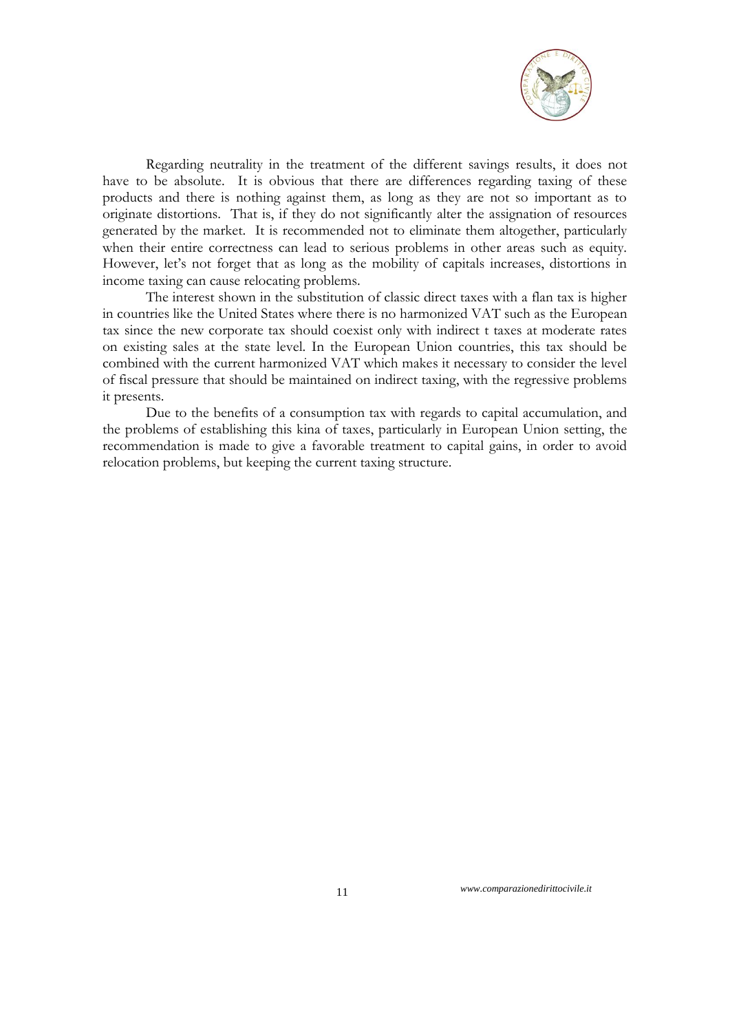

Regarding neutrality in the treatment of the different savings results, it does not have to be absolute. It is obvious that there are differences regarding taxing of these products and there is nothing against them, as long as they are not so important as to originate distortions. That is, if they do not significantly alter the assignation of resources generated by the market. It is recommended not to eliminate them altogether, particularly when their entire correctness can lead to serious problems in other areas such as equity. However, let's not forget that as long as the mobility of capitals increases, distortions in income taxing can cause relocating problems.

The interest shown in the substitution of classic direct taxes with a flan tax is higher in countries like the United States where there is no harmonized VAT such as the European tax since the new corporate tax should coexist only with indirect t taxes at moderate rates on existing sales at the state level. In the European Union countries, this tax should be combined with the current harmonized VAT which makes it necessary to consider the level of fiscal pressure that should be maintained on indirect taxing, with the regressive problems it presents.

Due to the benefits of a consumption tax with regards to capital accumulation, and the problems of establishing this kina of taxes, particularly in European Union setting, the recommendation is made to give a favorable treatment to capital gains, in order to avoid relocation problems, but keeping the current taxing structure.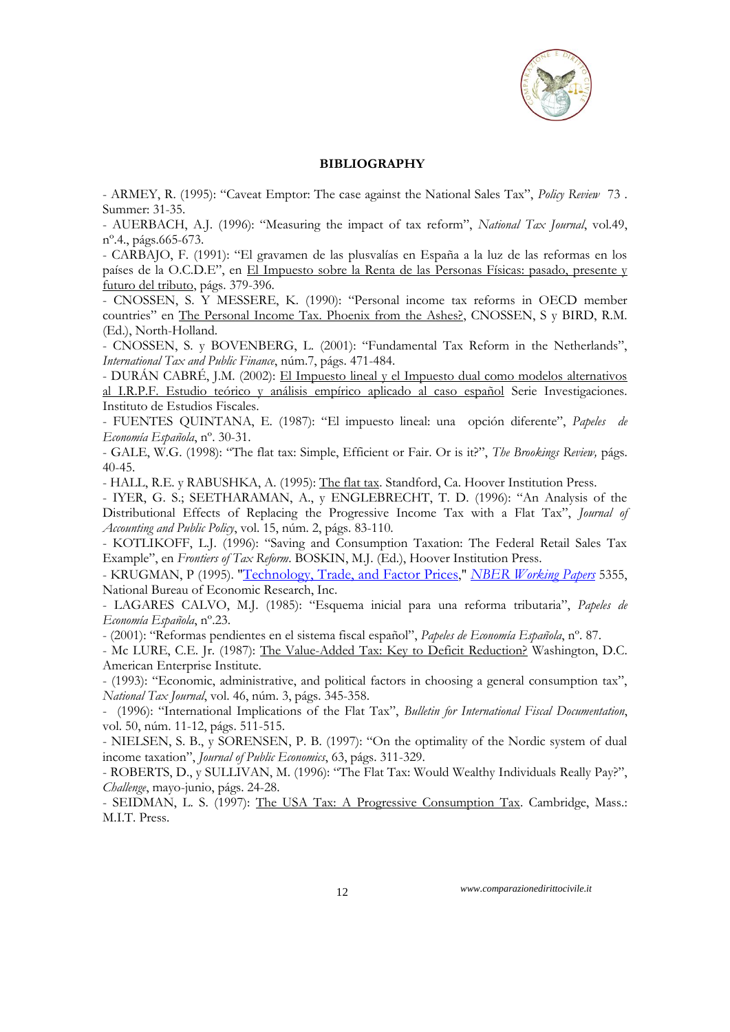

#### **BIBLIOGRAPHY**

- ARMEY, R. (1995): "Caveat Emptor: The case against the National Sales Tax", *Policy Review* 73 . Summer: 31-35.

- AUERBACH, A.J. (1996): "Measuring the impact of tax reform", *National Tax Journal*, vol.49, nº.4., págs.665-673.

- CARBAJO, F. (1991): "El gravamen de las plusvalías en España a la luz de las reformas en los países de la O.C.D.E", en El Impuesto sobre la Renta de las Personas Físicas: pasado, presente y futuro del tributo, págs. 379-396.

- CNOSSEN, S. Y MESSERE, K. (1990): "Personal income tax reforms in OECD member countries" en The Personal Income Tax. Phoenix from the Ashes?, CNOSSEN, S y BIRD, R.M. (Ed.), North-Holland.

- CNOSSEN, S. y BOVENBERG, L. (2001): "Fundamental Tax Reform in the Netherlands", *International Tax and Public Finance*, núm.7, págs. 471-484.

- DURÁN CABRÉ, J.M. (2002): El Impuesto lineal y el Impuesto dual como modelos alternativos al I.R.P.F. Estudio teórico y análisis empírico aplicado al caso español Serie Investigaciones. Instituto de Estudios Fiscales.

- FUENTES QUINTANA, E. (1987): "El impuesto lineal: una opción diferente", *Papeles de Economía Española*, nº. 30-31.

- GALE, W.G. (1998): "The flat tax: Simple, Efficient or Fair. Or is it?", *The Brookings Review,* págs. 40-45.

- HALL, R.E. y RABUSHKA, A. (1995): The flat tax. Standford, Ca. Hoover Institution Press.

- IYER, G. S.; SEETHARAMAN, A., y ENGLEBRECHT, T. D. (1996): "An Analysis of the Distributional Effects of Replacing the Progressive Income Tax with a Flat Tax", *Journal of Accounting and Public Policy*, vol. 15, núm. 2, págs. 83-110.

- KOTLIKOFF, L.J. (1996): "Saving and Consumption Taxation: The Federal Retail Sales Tax Example", en *Frontiers of Tax Reform*. BOSKIN, M.J. (Ed.), Hoover Institution Press.

- KRUGMAN, P (1995). "[Technology, Trade, and Factor Prices](http://ideas.repec.org/p/nbr/nberwo/5355.html)," *[NBER Working Papers](http://ideas.repec.org/s/nbr/nberwo.html)* 5355, National Bureau of Economic Research, Inc.

- LAGARES CALVO, M.J. (1985): "Esquema inicial para una reforma tributaria", *Papeles de Economía Española*, nº.23.

- (2001): "Reformas pendientes en el sistema fiscal español", *Papeles de Economía Española*, nº. 87.

- Mc LURE, C.E. Jr. (1987): The Value-Added Tax: Key to Deficit Reduction? Washington, D.C. American Enterprise Institute.

- (1993): "Economic, administrative, and political factors in choosing a general consumption tax", *National Tax Journal*, vol. 46, núm. 3, págs. 345-358.

- (1996): "International Implications of the Flat Tax", *Bulletin for International Fiscal Documentation*, vol. 50, núm. 11-12, págs. 511-515.

- NIELSEN, S. B., y SORENSEN, P. B. (1997): "On the optimality of the Nordic system of dual income taxation", *Journal of Public Economics*, 63, págs. 311-329.

- ROBERTS, D., y SULLIVAN, M. (1996): "The Flat Tax: Would Wealthy Individuals Really Pay?", *Challenge*, mayo-junio, págs. 24-28.

- SEIDMAN, L. S. (1997): The USA Tax: A Progressive Consumption Tax. Cambridge, Mass.: M.I.T. Press.